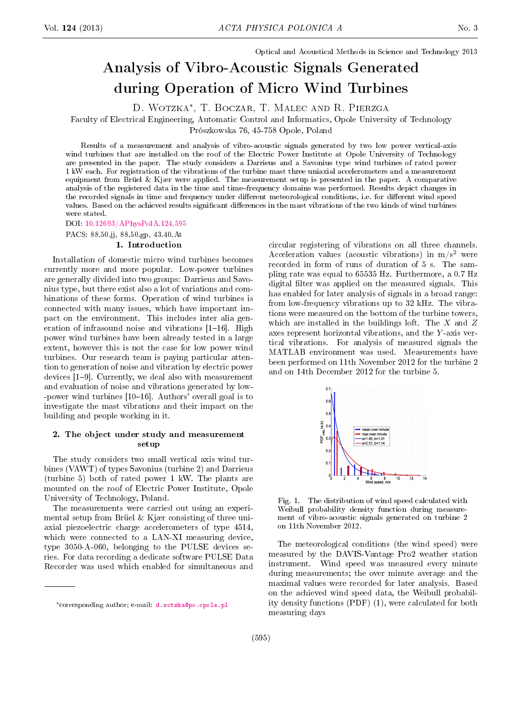Optical and Acoustical Methods in Science and Technology 2013

# Analysis of Vibro-Acoustic Signals Generated during Operation of Micro Wind Turbines

D. Wotzka<sup>∗</sup> , T. Boczar, T. Malec and R. Pierzga

Faculty of Electrical Engineering, Automatic Control and Informatics, Opole University of Technology

Prószkowska 76, 45-758 Opole, Poland

Results of a measurement and analysis of vibro-acoustic signals generated by two low power vertical-axis wind turbines that are installed on the roof of the Electric Power Institute at Opole University of Technology are presented in the paper. The study considers a Darrieus and a Savonius type wind turbines of rated power 1 kW each. For registration of the vibrations of the turbine mast three uniaxial accelerometers and a measurement equipment from Brüel & Kjær were applied. The measurement setup is presented in the paper. A comparative analysis of the registered data in the time and time-frequency domains was performed. Results depict changes in the recorded signals in time and frequency under different meteorological conditions, i.e. for different wind speed values. Based on the achieved results significant differences in the mast vibrations of the two kinds of wind turbines were stated.

DOI: [10.12693/APhysPolA.124.595](http://dx.doi.org/10.12693/APhysPolA.124.595)

#### PACS: 88.50.jj, 88.50.gp, 43.40.At 1. Introduction

Installation of domestic micro wind turbines becomes currently more and more popular. Low-power turbines are generally divided into two groups: Darrieus and Savonius type, but there exist also a lot of variations and combinations of these forms. Operation of wind turbines is connected with many issues, which have important impact on the environment. This includes inter alia generation of infrasound noise and vibrations  $[1-16]$ . High power wind turbines have been already tested in a large extent, however this is not the case for low power wind turbines. Our research team is paying particular attention to generation of noise and vibration by electric power devices [1-9]. Currently, we deal also with measurement and evaluation of noise and vibrations generated by low- -power wind turbines  $[10-16]$ . Authors' overall goal is to investigate the mast vibrations and their impact on the building and people working in it.

# 2. The object under study and measurement setup

The study considers two small vertical axis wind turbines (VAWT) of types Savonius (turbine 2) and Darrieus (turbine 5) both of rated power 1 kW. The plants are mounted on the roof of Electric Power Institute, Opole University of Technology, Poland.

The measurements were carried out using an experimental setup from Brüel & Kjær consisting of three uniaxial piezoelectric charge accelerometers of type 4514, which were connected to a LAN-XI measuring device, type 3050-A-060, belonging to the PULSE devices series. For data recording a dedicate software PULSE Data Recorder was used which enabled for simultaneous and circular registering of vibrations on all three channels. Acceleration values (acoustic vibrations) in  $m/s^2$  were recorded in form of runs of duration of 5 s. The sampling rate was equal to 65535 Hz. Furthermore, a 0.7 Hz digital filter was applied on the measured signals. This has enabled for later analysis of signals in a broad range: from low-frequency vibrations up to 32 kHz. The vibrations were measured on the bottom of the turbine towers, which are installed in the buildings loft. The  $X$  and  $Z$ axes represent horizontal vibrations, and the Y -axis vertical vibrations. For analysis of measured signals the MATLAB environment was used. Measurements have been performed on 11th November 2012 for the turbine 2 and on 14th December 2012 for the turbine 5.



Fig. 1. The distribution of wind speed calculated with Weibull probability density function during measurement of vibro-acoustic signals generated on turbine 2 on 11th November 2012.

The meteorological conditions (the wind speed) were measured by the DAVIS-Vantage Pro2 weather station instrument. Wind speed was measured every minute during measurements; the over minute average and the maximal values were recorded for later analysis. Based on the achieved wind speed data, the Weibull probability density functions (PDF) (1), were calculated for both measuring days

<sup>∗</sup>corresponding author; e-mail: [d.wotzka@po.opole.pl](mailto:d.wotzka@po.opole.pl)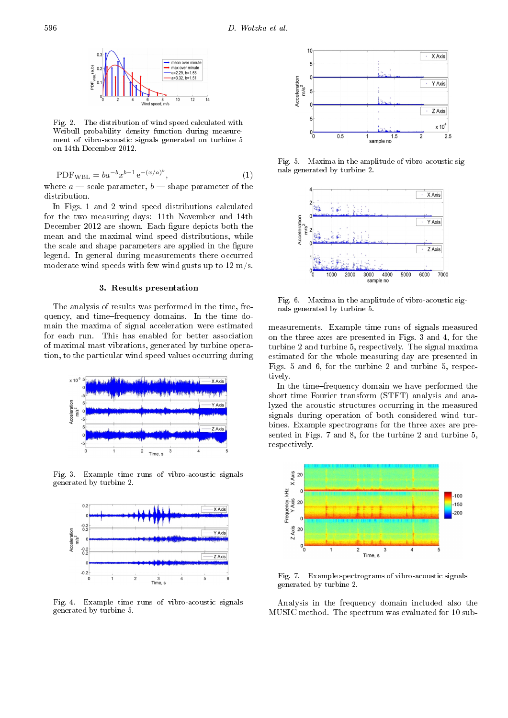

Fig. 2. The distribution of wind speed calculated with Weibull probability density function during measurement of vibro-acoustic signals generated on turbine 5 on 14th December 2012.

$$
PDF_{WBL} = ba^{-b}x^{b-1}e^{-(x/a)^b},
$$
\n(1)

where  $a$  – scale parameter,  $b$  – shape parameter of the distribution.

In Figs. 1 and 2 wind speed distributions calculated for the two measuring days: 11th November and 14th December 2012 are shown. Each figure depicts both the mean and the maximal wind speed distributions, while the scale and shape parameters are applied in the figure legend. In general during measurements there occurred moderate wind speeds with few wind gusts up to 12 m/s.

## 3. Results presentation

The analysis of results was performed in the time, frequency, and timefrequency domains. In the time domain the maxima of signal acceleration were estimated for each run. This has enabled for better association of maximal mast vibrations, generated by turbine operation, to the particular wind speed values occurring during



Fig. 3. Example time runs of vibro-acoustic signals generated by turbine 2.



Fig. 4. Example time runs of vibro-acoustic signals generated by turbine 5.



Fig. 5. Maxima in the amplitude of vibro-acoustic signals generated by turbine 2.



Fig. 6. Maxima in the amplitude of vibro-acoustic signals generated by turbine 5.

measurements. Example time runs of signals measured on the three axes are presented in Figs. 3 and 4, for the turbine 2 and turbine 5, respectively. The signal maxima estimated for the whole measuring day are presented in Figs. 5 and 6, for the turbine 2 and turbine 5, respectively.

In the time-frequency domain we have performed the short time Fourier transform (STFT) analysis and analyzed the acoustic structures occurring in the measured signals during operation of both considered wind turbines. Example spectrograms for the three axes are presented in Figs. 7 and 8, for the turbine 2 and turbine 5, respectively.



Fig. 7. Example spectrograms of vibro-acoustic signals generated by turbine 2.

Analysis in the frequency domain included also the MUSIC method. The spectrum was evaluated for 10 sub-